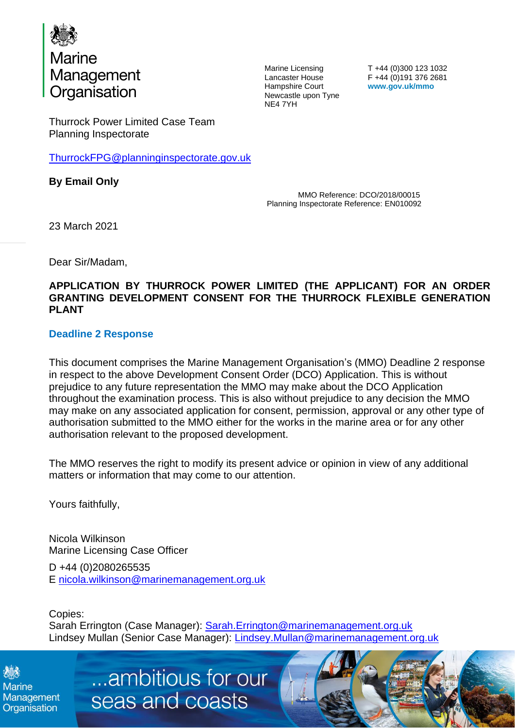

Marine Licensing Lancaster House Hampshire Court Newcastle upon Tyne NE4 7YH

T +44 (0)300 123 1032 F +44 (0)191 376 2681 **www.gov.uk/mmo**

Thurrock Power Limited Case Team Planning Inspectorate

[ThurrockFPG@planninginspectorate.gov.uk](mailto:ThurrockFPG@planninginspectorate.gov.uk)

**By Email Only**

MMO Reference: DCO/2018/00015 Planning Inspectorate Reference: EN010092

23 March 2021

Dear Sir/Madam,

### **APPLICATION BY THURROCK POWER LIMITED (THE APPLICANT) FOR AN ORDER GRANTING DEVELOPMENT CONSENT FOR THE THURROCK FLEXIBLE GENERATION PLANT**

## **Deadline 2 Response**

This document comprises the Marine Management Organisation's (MMO) Deadline 2 response in respect to the above Development Consent Order (DCO) Application. This is without prejudice to any future representation the MMO may make about the DCO Application throughout the examination process. This is also without prejudice to any decision the MMO may make on any associated application for consent, permission, approval or any other type of authorisation submitted to the MMO either for the works in the marine area or for any other authorisation relevant to the proposed development.

The MMO reserves the right to modify its present advice or opinion in view of any additional matters or information that may come to our attention.

Yours faithfully,

Nicola Wilkinson Marine Licensing Case Officer

D +44 (0)2080265535 E [nicola.wilkinson@marinemanagement.org.uk](mailto:nicola.wilkinson@marinemanagement.org.uk)

Copies: Sarah Errington (Case Manager): [Sarah.Errington@marinemanagement.org.uk](mailto:Sarah.Errington@marinemanagement.org.uk) Lindsey Mullan (Senior Case Manager): [Lindsey.Mullan@marinemanagement.org.uk](mailto:Lindsey.Mullan@marinemanagement.org.uk)

**Marine** Management Organisation

...ambitious for our seas and coasts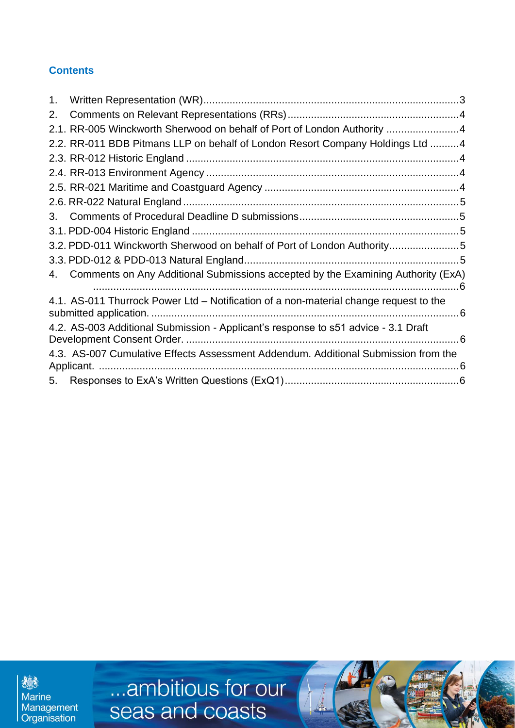# **Contents**

| 1. |                                                                                       |  |
|----|---------------------------------------------------------------------------------------|--|
| 2. |                                                                                       |  |
|    | 2.1. RR-005 Winckworth Sherwood on behalf of Port of London Authority 4               |  |
|    | 2.2. RR-011 BDB Pitmans LLP on behalf of London Resort Company Holdings Ltd 4         |  |
|    |                                                                                       |  |
|    |                                                                                       |  |
|    |                                                                                       |  |
|    |                                                                                       |  |
| 3. |                                                                                       |  |
|    |                                                                                       |  |
|    | 3.2. PDD-011 Winckworth Sherwood on behalf of Port of London Authority5               |  |
|    |                                                                                       |  |
|    | 4. Comments on Any Additional Submissions accepted by the Examining Authority (ExA)   |  |
|    | 4.1. AS-011 Thurrock Power Ltd – Notification of a non-material change request to the |  |
|    | 4.2. AS-003 Additional Submission - Applicant's response to s51 advice - 3.1 Draft    |  |
|    | 4.3. AS-007 Cumulative Effects Assessment Addendum. Additional Submission from the    |  |
| 5. |                                                                                       |  |

德 Marine<br>Management<br>Organisation ...ambitious for our<br>seas and coasts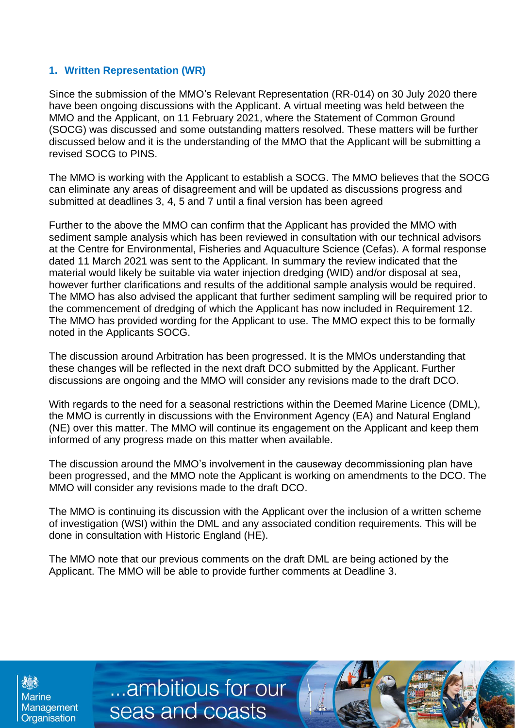## <span id="page-2-0"></span>**1. Written Representation (WR)**

Since the submission of the MMO's Relevant Representation (RR-014) on 30 July 2020 there have been ongoing discussions with the Applicant. A virtual meeting was held between the MMO and the Applicant, on 11 February 2021, where the Statement of Common Ground (SOCG) was discussed and some outstanding matters resolved. These matters will be further discussed below and it is the understanding of the MMO that the Applicant will be submitting a revised SOCG to PINS.

The MMO is working with the Applicant to establish a SOCG. The MMO believes that the SOCG can eliminate any areas of disagreement and will be updated as discussions progress and submitted at deadlines 3, 4, 5 and 7 until a final version has been agreed

Further to the above the MMO can confirm that the Applicant has provided the MMO with sediment sample analysis which has been reviewed in consultation with our technical advisors at the Centre for Environmental, Fisheries and Aquaculture Science (Cefas). A formal response dated 11 March 2021 was sent to the Applicant. In summary the review indicated that the material would likely be suitable via water injection dredging (WID) and/or disposal at sea, however further clarifications and results of the additional sample analysis would be required. The MMO has also advised the applicant that further sediment sampling will be required prior to the commencement of dredging of which the Applicant has now included in Requirement 12. The MMO has provided wording for the Applicant to use. The MMO expect this to be formally noted in the Applicants SOCG.

The discussion around Arbitration has been progressed. It is the MMOs understanding that these changes will be reflected in the next draft DCO submitted by the Applicant. Further discussions are ongoing and the MMO will consider any revisions made to the draft DCO.

With regards to the need for a seasonal restrictions within the Deemed Marine Licence (DML), the MMO is currently in discussions with the Environment Agency (EA) and Natural England (NE) over this matter. The MMO will continue its engagement on the Applicant and keep them informed of any progress made on this matter when available.

The discussion around the MMO's involvement in the causeway decommissioning plan have been progressed, and the MMO note the Applicant is working on amendments to the DCO. The MMO will consider any revisions made to the draft DCO.

The MMO is continuing its discussion with the Applicant over the inclusion of a written scheme of investigation (WSI) within the DML and any associated condition requirements. This will be done in consultation with Historic England (HE).

The MMO note that our previous comments on the draft DML are being actioned by the Applicant. The MMO will be able to provide further comments at Deadline 3.

...ambitious for our

seas and coasts

**Marine** Management Organisation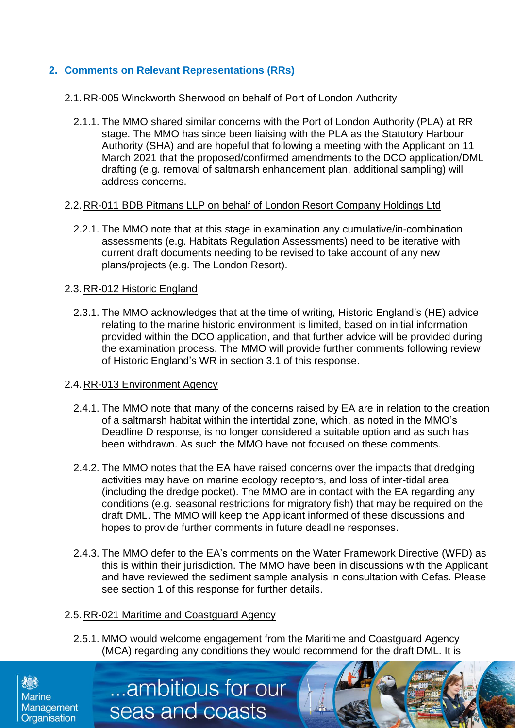# <span id="page-3-0"></span>**2. Comments on Relevant Representations (RRs)**

### <span id="page-3-1"></span>2.1.RR-005 Winckworth Sherwood on behalf of Port of London Authority

2.1.1. The MMO shared similar concerns with the Port of London Authority (PLA) at RR stage. The MMO has since been liaising with the PLA as the Statutory Harbour Authority (SHA) and are hopeful that following a meeting with the Applicant on 11 March 2021 that the proposed/confirmed amendments to the DCO application/DML drafting (e.g. removal of saltmarsh enhancement plan, additional sampling) will address concerns.

#### <span id="page-3-2"></span>2.2.RR-011 BDB Pitmans LLP on behalf of London Resort Company Holdings Ltd

2.2.1. The MMO note that at this stage in examination any cumulative/in-combination assessments (e.g. Habitats Regulation Assessments) need to be iterative with current draft documents needing to be revised to take account of any new plans/projects (e.g. The London Resort).

#### <span id="page-3-3"></span>2.3.RR-012 Historic England

2.3.1. The MMO acknowledges that at the time of writing, Historic England's (HE) advice relating to the marine historic environment is limited, based on initial information provided within the DCO application, and that further advice will be provided during the examination process. The MMO will provide further comments following review of Historic England's WR in section 3.1 of this response.

#### <span id="page-3-4"></span>2.4.RR-013 Environment Agency

- 2.4.1. The MMO note that many of the concerns raised by EA are in relation to the creation of a saltmarsh habitat within the intertidal zone, which, as noted in the MMO's Deadline D response, is no longer considered a suitable option and as such has been withdrawn. As such the MMO have not focused on these comments.
- 2.4.2. The MMO notes that the EA have raised concerns over the impacts that dredging activities may have on marine ecology receptors, and loss of inter-tidal area (including the dredge pocket). The MMO are in contact with the EA regarding any conditions (e.g. seasonal restrictions for migratory fish) that may be required on the draft DML. The MMO will keep the Applicant informed of these discussions and hopes to provide further comments in future deadline responses.
- 2.4.3. The MMO defer to the EA's comments on the Water Framework Directive (WFD) as this is within their jurisdiction. The MMO have been in discussions with the Applicant and have reviewed the sediment sample analysis in consultation with Cefas. Please see section 1 of this response for further details.

#### <span id="page-3-5"></span>2.5.RR-021 Maritime and Coastguard Agency

...ambitious for our

seas and coasts

2.5.1. MMO would welcome engagement from the Maritime and Coastguard Agency (MCA) regarding any conditions they would recommend for the draft DML. It is

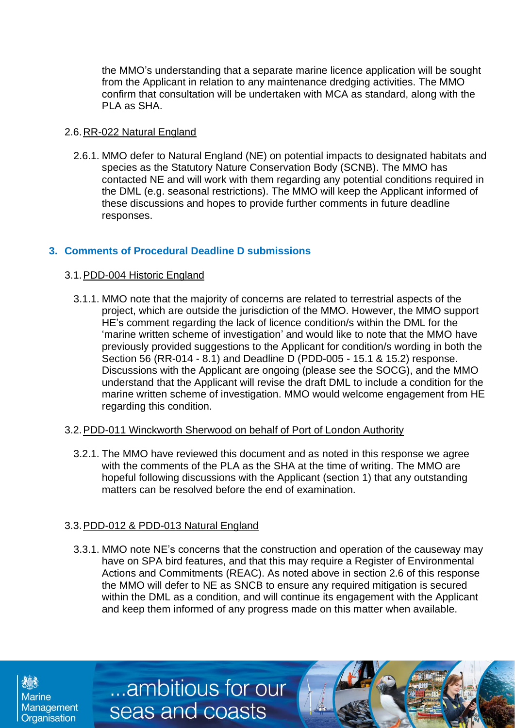the MMO's understanding that a separate marine licence application will be sought from the Applicant in relation to any maintenance dredging activities. The MMO confirm that consultation will be undertaken with MCA as standard, along with the PLA as SHA.

### <span id="page-4-0"></span>2.6.RR-022 Natural England

2.6.1. MMO defer to Natural England (NE) on potential impacts to designated habitats and species as the Statutory Nature Conservation Body (SCNB). The MMO has contacted NE and will work with them regarding any potential conditions required in the DML (e.g. seasonal restrictions). The MMO will keep the Applicant informed of these discussions and hopes to provide further comments in future deadline responses.

# <span id="page-4-1"></span>**3. Comments of Procedural Deadline D submissions**

## <span id="page-4-2"></span>3.1.PDD-004 Historic England

3.1.1. MMO note that the majority of concerns are related to terrestrial aspects of the project, which are outside the jurisdiction of the MMO. However, the MMO support HE's comment regarding the lack of licence condition/s within the DML for the 'marine written scheme of investigation' and would like to note that the MMO have previously provided suggestions to the Applicant for condition/s wording in both the Section 56 (RR-014 - 8.1) and Deadline D (PDD-005 - 15.1 & 15.2) response. Discussions with the Applicant are ongoing (please see the SOCG), and the MMO understand that the Applicant will revise the draft DML to include a condition for the marine written scheme of investigation. MMO would welcome engagement from HE regarding this condition.

### <span id="page-4-3"></span>3.2.PDD-011 Winckworth Sherwood on behalf of Port of London Authority

3.2.1. The MMO have reviewed this document and as noted in this response we agree with the comments of the PLA as the SHA at the time of writing. The MMO are hopeful following discussions with the Applicant (section 1) that any outstanding matters can be resolved before the end of examination.

# <span id="page-4-4"></span>3.3.PDD-012 & PDD-013 Natural England

**Marine** 

Management Organisation

...ambitious for our

seas and coasts

3.3.1. MMO note NE's concerns that the construction and operation of the causeway may have on SPA bird features, and that this may require a Register of Environmental Actions and Commitments (REAC). As noted above in section 2.6 of this response the MMO will defer to NE as SNCB to ensure any required mitigation is secured within the DML as a condition, and will continue its engagement with the Applicant and keep them informed of any progress made on this matter when available.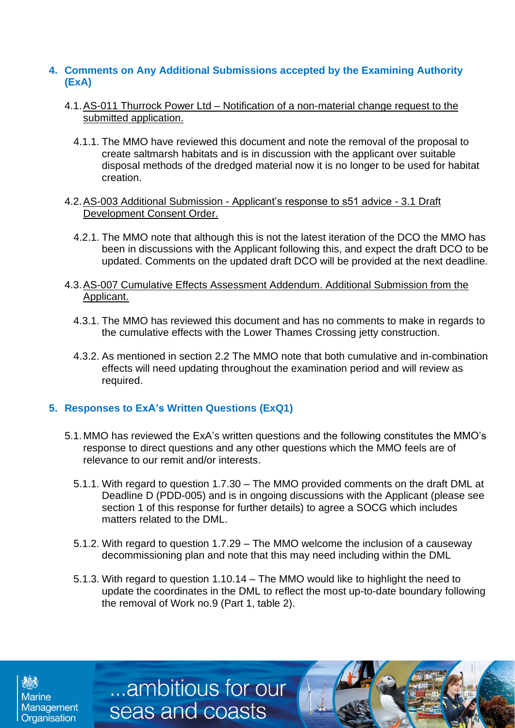## <span id="page-5-0"></span>**4. Comments on Any Additional Submissions accepted by the Examining Authority (ExA)**

- <span id="page-5-1"></span>4.1.AS-011 Thurrock Power Ltd – Notification of a non-material change request to the submitted application.
	- 4.1.1. The MMO have reviewed this document and note the removal of the proposal to create saltmarsh habitats and is in discussion with the applicant over suitable disposal methods of the dredged material now it is no longer to be used for habitat creation.
- <span id="page-5-2"></span>4.2.AS-003 Additional Submission - Applicant's response to s51 advice - 3.1 Draft Development Consent Order.
	- 4.2.1. The MMO note that although this is not the latest iteration of the DCO the MMO has been in discussions with the Applicant following this, and expect the draft DCO to be updated. Comments on the updated draft DCO will be provided at the next deadline.
- <span id="page-5-3"></span>4.3.AS-007 Cumulative Effects Assessment Addendum. Additional Submission from the Applicant.
	- 4.3.1. The MMO has reviewed this document and has no comments to make in regards to the cumulative effects with the Lower Thames Crossing jetty construction.
	- 4.3.2. As mentioned in section 2.2 The MMO note that both cumulative and in-combination effects will need updating throughout the examination period and will review as required.

# <span id="page-5-4"></span>**5. Responses to ExA's Written Questions (ExQ1)**

...ambitious for our

seas and coasts

**Marine** 

Management Organisation

- 5.1.MMO has reviewed the ExA's written questions and the following constitutes the MMO's response to direct questions and any other questions which the MMO feels are of relevance to our remit and/or interests.
	- 5.1.1. With regard to question 1.7.30 The MMO provided comments on the draft DML at Deadline D (PDD-005) and is in ongoing discussions with the Applicant (please see section 1 of this response for further details) to agree a SOCG which includes matters related to the DML.
	- 5.1.2. With regard to question 1.7.29 The MMO welcome the inclusion of a causeway decommissioning plan and note that this may need including within the DML
	- 5.1.3. With regard to question 1.10.14 The MMO would like to highlight the need to update the coordinates in the DML to reflect the most up-to-date boundary following the removal of Work no.9 (Part 1, table 2).